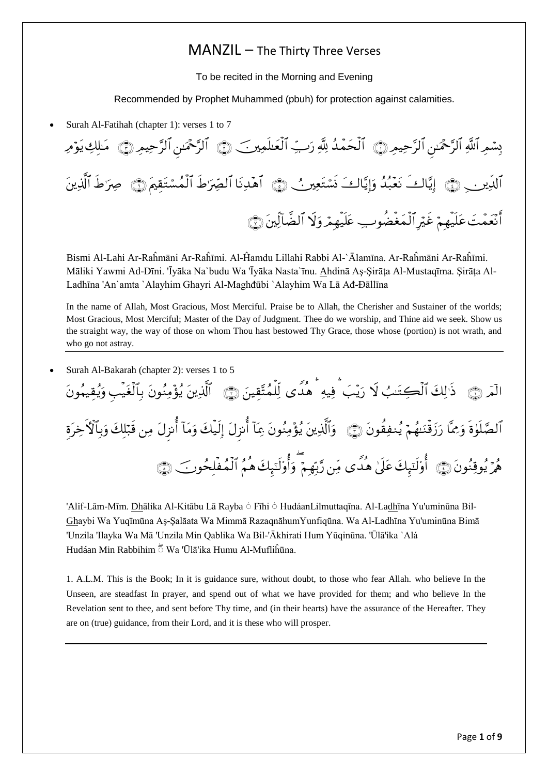## MANZIL – The Thirty Three Verses

To be recited in the Morning and Evening

Recommended by Prophet Muhammed (pbuh) for protection against calamities.

Surah Al-Fatihah (chapter 1): verses 1 to 7

بِسْمِرِ اللَّهِ الرَّحْمَىٰنِ الرَّحِيمِ ۞ الْحَمّْدُ لِلَّهِ رَبِّ الْعَلْمِينَ ۞ الرَّحْمَىٰنِ الرَّحِيمِ ۞ مَلكِ يَوْمِ الْدِينِي ۞ إِيَّاكِ نَعْبُدُ وَإِيَّاكَ نَسْتَعِيرٍ ﴾ [هُدِنَا الْصِّرَ'طِ الْمُسْتَقِيمَ ۞ صِرَ'طِ الذينَ أَنْعَمْتَ عَلَيهِمْ غَيْرِ الْمَغْضُوبِ عَلَيهِمْ وَلَا الْضَالِبِنَ ۞

Bismi Al-Lahi Ar-Raĥmāni Ar-Raĥīmi. Al-Ĥamdu Lillahi Rabbi Al-`Ālamīna. Ar-Raĥmāni Ar-Raĥīmi. Māliki Yawmi Ad-Dīni. 'Īyāka Na`budu Wa 'Īyāka Nasta`īnu. Ahdinā Aş-Şirāţa Al-Mustaqīma. Şirāţa Al-Ladhīna 'An`amta `Alayhim Ghayri Al-Maghđūbi `Alayhim Wa Lā Ađ-Đāllīna

In the name of Allah, Most Gracious, Most Merciful. Praise be to Allah, the Cherisher and Sustainer of the worlds; Most Gracious, Most Merciful; Master of the Day of Judgment. Thee do we worship, and Thine aid we seek. Show us the straight way, the way of those on whom Thou hast bestowed Thy Grace, those whose (portion) is not wrath, and who go not astray.

Surah Al-Bakarah (chapter 2): verses 1 to 5

الْمَرِ ۞ ذَٰ لِكَ الْكِتَنِبُ لا رَيِّبَ ۖ فِيهِ ۖ هدى لِلْمُتَّقِينَ ۞ الَّذِينَ يُؤْمِنُونَ بِالْغَيبِ وَيُقِيهُونَ الْصَّلَوٰةِ وَمِمَّا رَزَقْنَهُمْ يُنفِقُونَ ۞ ﴾ وَالَّذِينَ يُؤْمِنُونَ مِمَا أَنزِلَ إِلَيكَ وَمَا أَنزلَ مِن قَبْلُكَ وَبِالْأَخِرَة هُمَّ يُوقِنُونَ ۞ ۗ أَوْلَئِبِكَ عَلَىٰ هدى مِّن رَّبِّهِمْ ۚ وَأَوْلَئِبِكَ هِمُ الْمُفلِحُونَ ۖ ۞

'Alif-Lām-Mīm. Dhālika Al-Kitābu Lā Rayba ۛ Fīhi ۛ HudáanLilmuttaqīna. Al-Ladhīna Yu'uminūna Bil-Ghaybi Wa Yuqīmūna Aş-Şalāata Wa Mimmā RazaqnāhumYunfiqūna. Wa Al-Ladhīna Yu'uminūna Bimā 'Unzila 'Ilayka Wa Mā 'Unzila Min Qablika Wa Bil-'Ākhirati Hum Yūqinūna. 'Ūlā'ika `Alá Hudáan Min Rabbihim  $\bar{5}$  Wa 'Ūlā'ika Humu Al-Mufliĥūna.

1. A.L.M. This is the Book; In it is guidance sure, without doubt, to those who fear Allah. who believe In the Unseen, are steadfast In prayer, and spend out of what we have provided for them; and who believe In the Revelation sent to thee, and sent before Thy time, and (in their hearts) have the assurance of the Hereafter. They are on (true) guidance, from their Lord, and it is these who will prosper.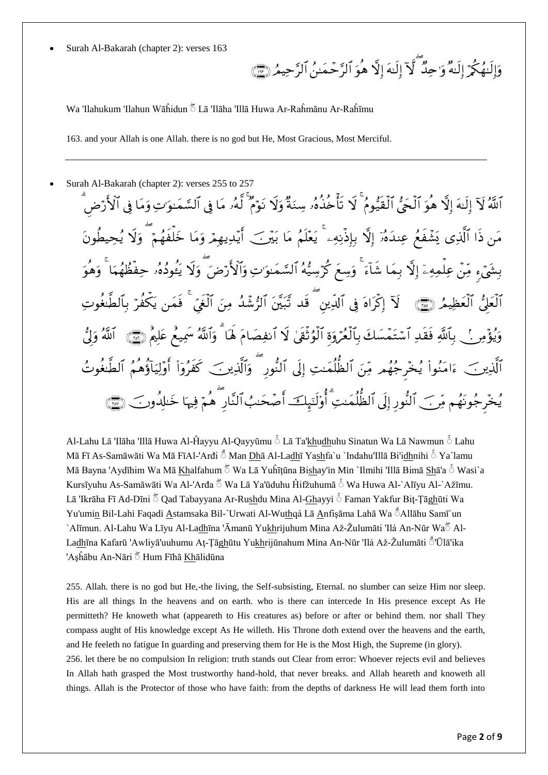Surah Al-Bakarah (chapter 2): verses 163

وَإِلَيْهَكُمْ إِلَيْهُ وَ'حِدٌ ۖ لَآ إِلَيْهَ إِلَّا هُوَ الْرَّحْمَـٰنُ الرَّحِيمُ (٣) ۖ

Wa 'Ilahukum 'Ilahun Wāĥidun ۛ Lā 'Ilāha 'Illā Huwa Ar-Raĥmānu Ar-Raĥīmu

163. and your Allah is one Allah. there is no god but He, Most Gracious, Most Merciful.

Surah Al-Bakarah (chapter 2): verses 255 to 257

اللَّهُ لَآ إِلَيْهَ إِلَّا هُوَ الْجَيُّ الْقَيُّومُ ۖ لَا تَأْخِذُهُۥ سِنَةٌ وَلَا نَوۡمٌ لَهُۥ مَا فِي الشَّمَنوَ'تِ وَمَا فِي الْأَرۡضَ مَن ذا الَّذِي يَشَّفَعُ عِندَهُۥٓ إِلَّا بِإِذْنِهِۦ ۗ يَعْلَمُ مَا بَيْرَ ۖ أَيَّدِيهِمْ وَمَا خَلفهُمْ ۖ وَلا يُحِيطونَ بِشَيْءٍ مِّنْ عِلْمِهِۦٓ إِلَّا بِمَا شَاءَ ۖ وَسِعَ كُرَّسِيُّهُ السَّمَـٰوَاتِ وَالْأَرْضَ ۖ وَلَا يَعوده وحفظهما ۖ وَهوَ الْعَلِّيُّ الْعَظِيمُ (ﷺ لَا إِكْرَاهُ فِي الْدِينِ ۖ قَدْ تُبَيِّنَ الْزُّشَدُ مِنَ الْغِيِّ ۖ فَمَن يَكفنُ بالطنغوتِ وَيُؤْمِرِ ۚ ۚ بِٱللَّهِ فَقَدِ ٱسۡتَمَّسَكَ بِٱلۡغُرِّوَةِ ٱلۡوُتْقِيٰ لَا ٱنفِصَامَ هَٰٓا ۖ وَٱللَّهُ سَمِيعُ عَلِيمَ رَبِّيٓ ﴾ ٱللَّهُ وَلَّي  $\overline{a}$ الَّذِينَ ۖ ءَامَنُواْ يُخْرِجُهُم مِّنَ الظُّلِّمَـٰتِ إِلَى النَّوْرِ ۖ وَالَّذِينَ ۖ كَفَرُوٓاْ أَوۡلِيَاؤَهِمُ الطُّغُوتُ يُخْرِجُونَهُم مِّر ﴾ النَّور إلى الظلَّمَيتِ أَوْلَتَبِكَ أَصْحَبُ النَّارِ هُمْ فِيهَا خَيْلِهِ وَبَ ۞

Al-Lahu Lā 'Ilāha 'Illā Huwa Al-Ĥayyu Al-Qayyūmu ۛ Lā Ta'khudhuhu Sinatun Wa Lā Nawmun ۛ Lahu Mā Fī As-Samāwāti Wa Mā FīAl-'Arđi  $\stackrel{4}{\circ}$  Man Dhā Al-Ladhī Yashfa`u `Indahu'Illā Bi'idhnihi  $\stackrel{5}{\circ}$  Ya`lamu Mā Bayna 'Aydīhim Wa Mā Khalfahum  $\bar{5}$  Wa Lā Yuĥītūna Bishay'in Min `Ilmihi 'Illā Bimā Shā'a  $\bar{5}$  Wasi`a Kursīyuhu As-Samāwāti Wa Al-'Arđa  $\bar{5}$  Wa Lā Ya'ūduhu Ĥifžuhumā  $\bar{5}$  Wa Huwa Al-`Alīyu Al-`Ažīmu. Lā 'Ikrāha Fī Ad-Dīni ۛ Qad Tabayyana Ar-Rushdu Mina Al-Ghayyi ۛ Faman Yakfur Biţ-Ţāghūti Wa Yu'umin Bil-Lahi Faqadi Astamsaka Bil-`Urwati Al-Wuthqá Lā Anfişāma Lahā Wa a Allāhu Samī`un `Alīmun. Al-Lahu Wa Līyu Al-Ladhīna 'Āmanū Yukhrijuhum Mina Až-Žulumāti 'Ilá An-Nūr Waۛ Al-Ladhīna Kafarū 'Awliyā'uuhumu Aṭ-Ṭāghūtu Yukhrijūnahum Mina An-Nūr 'Ilá Až-Žulumāti ً'Ūlā'ika 'Aşĥābu An-Nāri ۛ Hum Fīhā Khālidūna

255. Allah. there is no god but He,-the living, the Self-subsisting, Eternal. no slumber can seize Him nor sleep. His are all things In the heavens and on earth. who is there can intercede In His presence except As He permitteth? He knoweth what (appeareth to His creatures as) before or after or behind them. nor shall They compass aught of His knowledge except As He willeth. His Throne doth extend over the heavens and the earth, and He feeleth no fatigue In guarding and preserving them for He is the Most High, the Supreme (in glory). 256. let there be no compulsion In religion: truth stands out Clear from error: Whoever rejects evil and believes In Allah hath grasped the Most trustworthy hand-hold, that never breaks. and Allah heareth and knoweth all things. Allah is the Protector of those who have faith: from the depths of darkness He will lead them forth into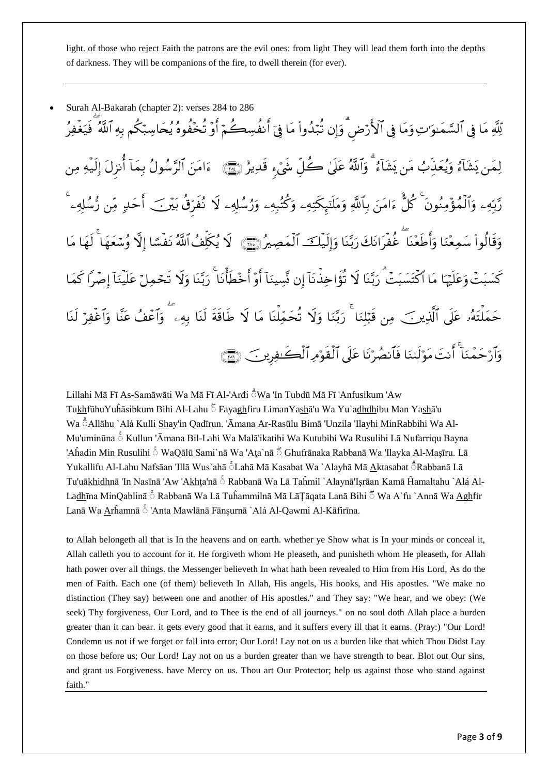light. of those who reject Faith the patrons are the evil ones: from light They will lead them forth into the depths of darkness. They will be companions of the fire, to dwell therein (for ever).

 Surah Al-Bakarah (chapter 2): verses 284 to 286 لِّلَّهِ مَا فِي السَّمَـٰوَ'تِ وَمَا فِي الْأَرْضِ وَإِن تَبْدُواْ مَا فِيِّ أَنفُسِكُمْ أَوِّ تَخْفُوهُ يُحَاسِبْكُم بِهِ اللَّهُ ۖ فَيَغْفِرُ لِمَن يَشَاءُ وَيُعَذِّبُ مَن يَشَاءُ ۖ وَاللَّهُ عَلَىٰ حَـٰلٍ شَيٍّ، قَدِيرٌ ﴿ يَمْنَ الْمَرْمَنَ الرَّسُولُ بِمَا أنزلَ إليهِ مِن رَّبَّهِۦ وَالْمُؤْمِنُونَ ۗ كُلِّ ءَامَنَ بِٱللَّهِ وَمَلَّتِهِكَّتِهِۦ وَكُتُبِهِۦ وَرُسُلُهِۦ لا نُفرّق بَيْرَ ۖ أَحَدٍ مِّن رُّسُلُهِۦ وَقَالُواْ سَمِعْنَا وَأَطَعْنَا غَفِرَانَكَ رَبَّنَا وَإِلَيْكَ الْمَصِيرُ (ﷺ) لا يُكْلِفُٱللَّهُ نَفِسًا إِلَّا وُسْعَهَا ۖ لَهَا مَا كَسَبَتْ وَعَلَيْهَا مَا اكْتَسَبَتْ رَبَّنَا لا تؤاخِذْنَا إِن نِّسِينَا أَوِّ أَخْطَأْنَا ۖ رَبَّنَا وَلا تحْمِلْ عَلينَا إِصْراً كَمَا حَمَلَتُهُۥ عَلَى الَّذِينَ ۖ مِن قَبِّلْنَا ۖ رَبَّنَا وَلا تَحَمِّلْنَا مَا لا طاقة لنَا بِهِۦ ۖ وَاعْفُ عَنّا وَاغْفِرْ لنَا وَأَرْحَمْنَا ۖ أَنتَ مَوْلَـٰنَا فَأَنصُرْنَا عَلَى الْقَوْمِ الْكَـٰفِرِينَ ۚ ﴿ ۖ ﴾ ۖ

Lillahi Mā Fī As-Samāwāti Wa Mā Fī Al-'Arđi ۛ Wa 'In Tubdū Mā Fī 'Anfusikum 'Aw TukhfūhuYuĥāsibkum Bihi Al-Lahu ta Fayaghfiru LimanYashā'u Wa Yu`adhdhibu Man Yasha'u Wa ۛ Allāhu `Alá Kulli Shay'in Qadīrun. 'Āmana Ar-Rasūlu Bimā 'Unzila 'Ilayhi MinRabbihi Wa Al-Mu'uminūna ۛ Kullun 'Āmana Bil-Lahi Wa Malā'ikatihi Wa Kutubihi Wa Rusulihi Lā Nufarriqu Bayna 'Aĥadin Min Rusulihi ۛ WaQālū Sami`nā Wa 'Aţa`nā ۛ Ghufrānaka Rabbanā Wa 'Ilayka Al-Maşīru. Lā Yukallifu Al-Lahu Nafsāan 'Illā Wus`ahā  $\delta$ Lahā Mā Kasabat Wa `Alayhā Mā Aktasabat  $\delta$ Rabbanā Lā Tu'uākhidhnā 'In Nasīnā 'Aw 'Akhta'nā Š Rabbanā Wa Lā Taĥmil `Alaynā'Isrāan Kamā Ĥamaltahu `Alá Al-Ladhīna MinQablinā  $\stackrel{c}{\circ}$  Rabbanā Wa Lā Tuĥammilnā Mā LāŢāqata Lanā Bihi  $\stackrel{+}{\circ}$  Wa A`fu `Annā Wa Aghfir Lanā Wa Arĥamnā ۛ 'Anta Mawlānā Fānşurnā `Alá Al-Qawmi Al-Kāfirīna.

to Allah belongeth all that is In the heavens and on earth. whether ye Show what is In your minds or conceal it, Allah calleth you to account for it. He forgiveth whom He pleaseth, and punisheth whom He pleaseth, for Allah hath power over all things. the Messenger believeth In what hath been revealed to Him from His Lord, As do the men of Faith. Each one (of them) believeth In Allah, His angels, His books, and His apostles. "We make no distinction (They say) between one and another of His apostles." and They say: "We hear, and we obey: (We seek) Thy forgiveness, Our Lord, and to Thee is the end of all journeys." on no soul doth Allah place a burden greater than it can bear. it gets every good that it earns, and it suffers every ill that it earns. (Pray:) "Our Lord! Condemn us not if we forget or fall into error; Our Lord! Lay not on us a burden like that which Thou Didst Lay on those before us; Our Lord! Lay not on us a burden greater than we have strength to bear. Blot out Our sins, and grant us Forgiveness. have Mercy on us. Thou art Our Protector; help us against those who stand against faith."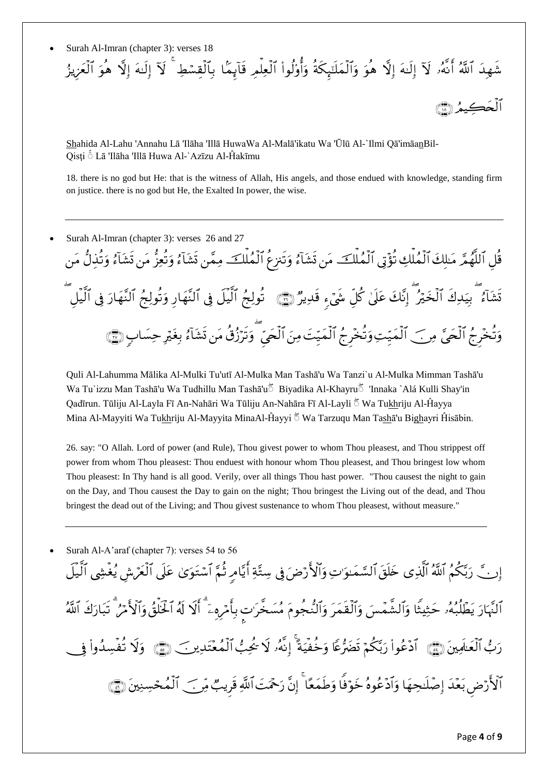Surah Al-Imran (chapter 3): verses 18

شَهِدَ اللَّهُ أَنهُۥ لَآ إِلَيْهَ إِلَّا هُوَ وَالْمَلْتِبِكَةِ وَأُوْلُواْ الْعِلْمِ قَابِمًا بِالْقِسْطِ ۖ لَأَ إِلَيْهَ إِلَّا هُوَ الْعَزِيزُ ألُحَڪمُ ا

Shahida Al-Lahu 'Annahu Lā 'Ilāha 'Illā HuwaWa Al-Malā'ikatu Wa 'Ūlū Al-`Ilmi Qā'imāanBil-Qisţi ۛ Lā 'Ilāha 'Illā Huwa Al-`Azīzu Al-Ĥakīmu

18. there is no god but He: that is the witness of Allah, His angels, and those endued with knowledge, standing firm on justice. there is no god but He, the Exalted In power, the wise.

 Surah Al-Imran (chapter 3): verses 26 and 27 قلِ الْلَّهُمَّرِ مَىلِكَ الْمُلْكِ تَؤْتِي الْمُلْكَ مَن تَشَاءُ وَتَنزع الْمُلْكَ مِمَّن تَشَاءُ وَتعزّ مَن تشَاءُ وَتذلّ مَن تَشَاءُ ۖ بِيَدِكَ الْخَيْرُ ۖ إِنَّكَ عَلَىٰ كُلِّ شَيْءٍ قَدِيرٌ ۚ رَبِّيَ ۗ تَوِلِّجُ الَّنَّهَارَ وَتولَّجُ النَّهَارَ فِي الَّيلِ وَتَّخْرِجُ الْجَيَّ مِرِ ﴾ الْمَيِّتِ وَتَّخْرِجُ الْمَيِّتَ مِنَ الْجَيِّ ۖ وَتَرَزُقُ مَن تَشَاءُ بِغَيْرِ حِسَابٍ (۞

Quli Al-Lahumma Mālika Al-Mulki Tu'utī Al-Mulka Man Tashā'u Wa Tanzi`u Al-Mulka Mimman Tashā'u Wa Tu`izzu Man Tashā'u Wa Tudhillu Man Tashā'uۛ Biyadika Al-Khayruۛ 'Innaka `Alá Kulli Shay'in Qadīrun. Tūliju Al-Layla Fī An-Nahāri Wa Tūliju An-Nahāra Fī Al-Layli ۛ Wa Tukhriju Al-Ĥayya Mina Al-Mayyiti Wa Tukhriju Al-Mayyita MinaAl-Ĥayyi twa Tarzuqu Man Tashā'u Bighayri Ĥisābin.

26. say: "O Allah. Lord of power (and Rule), Thou givest power to whom Thou pleasest, and Thou strippest off power from whom Thou pleasest: Thou enduest with honour whom Thou pleasest, and Thou bringest low whom Thou pleasest: In Thy hand is all good. Verily, over all things Thou hast power. "Thou causest the night to gain on the Day, and Thou causest the Day to gain on the night; Thou bringest the Living out of the dead, and Thou bringest the dead out of the Living; and Thou givest sustenance to whom Thou pleasest, without measure."

Surah Al-A'araf (chapter 7): verses 54 to 56

إِنَّ رَبَّكُمُ اللَّهُ الَّذِي خَلَقَ السَّمَـٰوَ'تِ وَالْأَرْضَ فِي سِتَّةِ أَيَّامِ ثُمَّ اسْتَوَىٰ عَلَى الْعَرَش يُغشِي اليل الَّهَارَ يَطَلِّبُهُۥ حَثِيثًا وَالشَّمْسَ وَالْقَمَرَ وَالنَّجومَ مُسَخِّرَٰت بِأَمْرِهِۦٓ ۚ أَلَّا لَهُ الخلقُ وَالأَمْرُ ۖ تَبَارَكَ اللَّهُ رَبُّ الْعَـٰلَمِينَ ۞ اذْعُواْ رَبُّكُمْ تَضَرُّعًا وَخَفِيَةً إِنهُۥ لا يُحِبُّ الْمُعْتَدِينَ ۞ وَلا تفسِدُواْ و الْأَرْضِ بَعْدَ إِصْلِحِهَا وَادْعُوهُ خَوْفًا وَطِمَعًا ۚ إِنَّ رَحْمَتَ اللَّهِ قَرِيبٌ مِّر ﴾ المُحْسِنِينَ ۞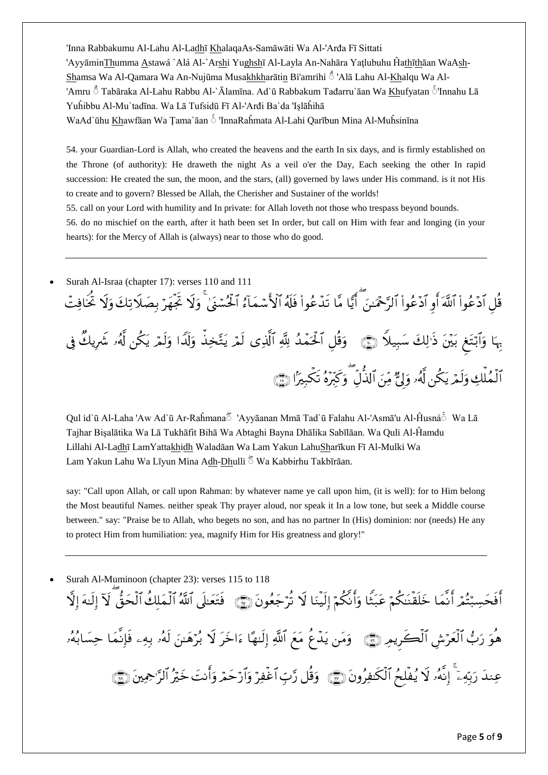'Inna Rabbakumu Al-Lahu Al-Ladhī KhalaqaAs-Samāwāti Wa Al-'Arđa Fī Sittati 'AyyāminThumma Astawá `Alá Al-`Arshi Yughshī Al-Layla An-Nahāra Yaţlubuhu Ĥathīthāan WaAsh-Shamsa Wa Al-Qamara Wa An-Nujūma Musakhkharātin Bi'amrihi ۛ 'Alā Lahu Al-Khalqu Wa Al- 'Amru ۛ Tabāraka Al-Lahu Rabbu Al-`Ālamīna. Ad`ū Rabbakum Tađarru`āan Wa Khufyatan ۛ 'Innahu Lā Yuĥibbu Al-Mu`tadīna. Wa Lā Tufsidū Fī Al-'Arđi Ba`da 'Işlāĥihā WaAd`ūhu Khawfāan Wa Ţama`āan ۛ 'InnaRaĥmata Al-Lahi Qarībun Mina Al-Muĥsinīna

54. your Guardian-Lord is Allah, who created the heavens and the earth In six days, and is firmly established on the Throne (of authority): He draweth the night As a veil o'er the Day, Each seeking the other In rapid succession: He created the sun, the moon, and the stars, (all) governed by laws under His command. is it not His to create and to govern? Blessed be Allah, the Cherisher and Sustainer of the worlds!

55. call on your Lord with humility and In private: for Allah loveth not those who trespass beyond bounds.

56. do no mischief on the earth, after it hath been set In order, but call on Him with fear and longing (in your hearts): for the Mercy of Allah is (always) near to those who do good.

 Surah Al-Israa (chapter 17): verses 110 and 111 قُلِ ادْعُواْ اللَّهَ أَوِ ادْعُواْ الرَّحْمَىٰنَ ۖ أَيًّا مَّا تَدَّعُواْ فَلَهُ الْأَسْمَاءُ الْحُسْنَىٰ ۖ وَلا تجهَرْ بِصَلاتِكَ وَلا تخافِتُ بِهَا وَأَبْتَغِ بَيْنَ ذَٰ لِكَ سَبِيلًا ۞ ﴾ وَقُلْ أَلْحَمَّدُ لِلَّهِ ٱلَّذِي لَمَّرِ يَتَّخِذُ وَلَدَا وَلَمْ يَكُن لَهُۥ شَرِيكَ في الْمُلْكِ وَلِمْرِيَكِن لَهُۥ وَلِيٌّ مِّنَ الَّذِلِ ۚ وَكَبِّرَهُ تَكْبِيرًا ۞

Qul id`ū Al-Laha 'Aw Ad`ū Ar-Raĥmanaۛ 'Ayyāanan Mmā Tad`ū Falahu Al-'Asmā'u Al-Ĥusnáۛ Wa Lā Tajhar Bişalātika Wa Lā Tukhāfit Bihā Wa Abtaghi Bayna Dhālika Sabīlāan. Wa Quli Al-Ĥamdu Lillahi Al-Ladhī LamYattakhidh Waladāan Wa Lam Yakun LahuSharīkun Fī Al-Mulki Wa Lam Yakun Lahu Wa Līyun Mina Adh-Dhulli  $\bar{5}$  Wa Kabbirhu Takbīrāan.

say: "Call upon Allah, or call upon Rahman: by whatever name ye call upon him, (it is well): for to Him belong the Most beautiful Names. neither speak Thy prayer aloud, nor speak it In a low tone, but seek a Middle course between." say: "Praise be to Allah, who begets no son, and has no partner In (His) dominion: nor (needs) He any to protect Him from humiliation: yea, magnify Him for His greatness and glory!"

 Surah Al-Muminoon (chapter 23): verses 115 to 118 أَفْحَسِبْتُمْ أَنِمَا خَلَقْنَكُمْ عَبَتًا وَأَنكُمْ إِلَيْنَا لَا تَرْجَعُونَ ۞ ۚ فَتَعَلَّى اللَّهُ الْمَلْك الْحَقّ لَآ إِلَيْهَ إِلَّا هُوَ رَبُّ الْعَرّْشِ الْكَرِيمِ (٤٦) ۖ وَمَن يَدَّع مَعَ اللَّهِ إِلَيْهَا ءَاخَرَ لا بُرْهَينَ لَهُ بِهِء فإنما حِسَابُهُۥ عِندَ رَبِّهِۦٓ ۚ إِنهُۥ لا يُفلِحُ الْكَنفِرُونَ ۞ ﴾ وَقُلْ رَّبِّ اَغْفِرْ وَاَرْحَمْ وَأَنتَ خَيْرُ الرَّحِمِينَ ۞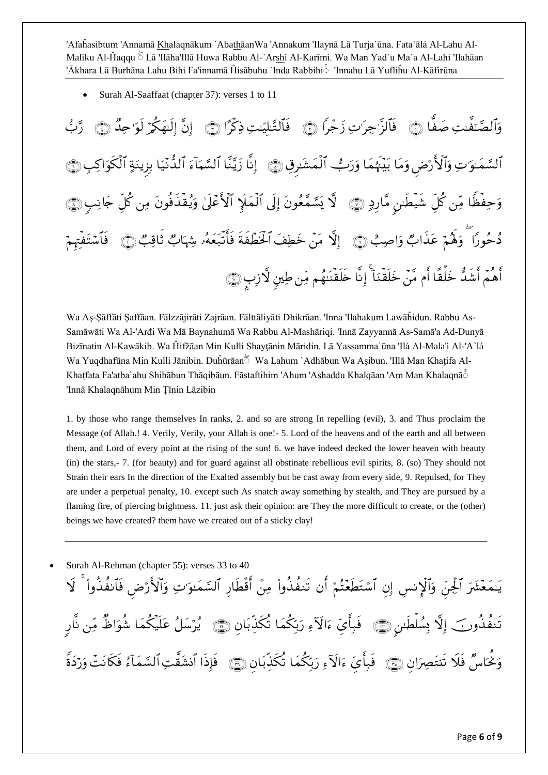'Afaĥasibtum 'Annamā Khalaqnākum `AbathāanWa 'Annakum 'Ilaynā Lā Turja`ūna. Fata`ālá Al-Lahu Al-Maliku Al-Ĥaqqu ۛ Lā 'Ilāha'Illā Huwa Rabbu Al-`Arshi Al-Karīmi. Wa Man Yad`u Ma`a Al-Lahi 'Ilahāan 'Ākhara Lā Burhāna Lahu Bihi Fa'innamā Ĥisābuhu `Inda Rabbihiۛ 'Innahu Lā Yufliĥu Al-Kāfirūna

Surah Al-Saaffaat (chapter 37): verses 1 to 11

وَٱلْصَّنَّفِيتِ صَفًّا ۞ فَٱلزَّ جِرَيٍّنِ زَجْراً ۞ فَٱلتَّنْلِيَتِ ذِكْرًا ۞ إِنَّ إِلَيْهِكُمْ لَوَ حِدَّ ۞ رَّبُّ اَلْسَّمَـٰوَ'تِ وَالْأَرْضِ وَمَا بَيِّنَهُمَا وَرَبُّ اَلْمَشَرِقِ۞ إِنا زَيَّنَّا الْسَّمَاءَ اَلِدُّنِّيَا بزينَةِ الْكَوَاكِبِ۞ وَحِفظًا مِّن كلِّ شيطن مَّارِدِ ۞ لَا يَسَّمَّعُونَ إِلَى الْمَلَإِ الْأَعْلَىٰ وَيُقِدْفُونَ مِن كل جَانِبِ ۞ دُحُورًا ۖ وَهُمَّ عَذَابٌ وَاصِبُّ ۞ ﴾ إِلَّا مَنْ خَطِفَ الْخَطَّفَةِ فَأُتَّبَعَهُۥ شَهَابٌ ثَاقِبٌ ۞ فأشتفتهم أَهُمَّ أَشَدَّ خَلَقًا أَم مَّنْ خَلَقْنَا ۖ إِنَّا خَلَقْنَنَّهُم مِّن طِينٍ لَأَزْبِ ﴿ ۗ ۖ وَ

Wa Aş-Şāffāti Şaffāan. Fālzzājirāti Zajrāan. Fālttāliyāti Dhikrāan. 'Inna 'Ilahakum Lawāĥidun. Rabbu As-Samāwāti Wa Al-'Arđi Wa Mā Baynahumā Wa Rabbu Al-Mashāriqi. 'Innā Zayyannā As-Samā'a Ad-Dunyā Bizīnatin Al-Kawākib. Wa Ĥifžāan Min Kulli Shayţānin Māridin. Lā Yassamma`ūna 'Ilá Al-Mala'i Al-'A`lá Wa Yuqdhafūna Min Kulli Jānibin. Duĥūrāan Wa Lahum `Adhābun Wa Asibun. 'Illā Man Khatifa Al-Khatfata Fa'atba`ahu Shihābun Thāqibāun. Fāstaftihim 'Ahum 'Ashaddu Khalqāan 'Am Man Khalaqnā $\delta$ 'Innā Khalaqnāhum Min Ţīnin Lāzibin

1. by those who range themselves In ranks, 2. and so are strong In repelling (evil), 3. and Thus proclaim the Message (of Allah.! 4. Verily, Verily, your Allah is one!- 5. Lord of the heavens and of the earth and all between them, and Lord of every point at the rising of the sun! 6. we have indeed decked the lower heaven with beauty (in) the stars,- 7. (for beauty) and for guard against all obstinate rebellious evil spirits, 8. (so) They should not Strain their ears In the direction of the Exalted assembly but be cast away from every side, 9. Repulsed, for They are under a perpetual penalty, 10. except such As snatch away something by stealth, and They are pursued by a flaming fire, of piercing brightness. 11. just ask their opinion: are They the more difficult to create, or the (other) beings we have created? them have we created out of a sticky clay!

Surah Al-Rehman (chapter 55): verses 33 to 40

يَنْمَعْشَرَ الْجِنَّ وَالْإِنسِ إِن اسْتَطِعْتُمْ أَن تَنفذُواْ مِنْ أَقْطَارِ السَّمَنُوَّتِ وَالْأَرْض فآنفذواْ ۖ لا تَنفذُورَكَ إِلَّا بِسُلْطِينٍ (۞ فَبِأَيِّ ۚ ءَالْآءِ رَبَّكُمَا تَكذَّبَانِ (۞ يُرْسَلُ عَلَيكُمَا شَوَاظ مِّن نار وَنَحْاسٌ فِلا تَنتَصِرَانِ ۞ ۚ فَبِأَيِّ ءَالَآءِ رَبُّكُمَا تَكْذَبَانِ ۞ ۚ فَإِذَا أَنشَقَتِ السَّمَاءُ فكانَتْ وَرْدَة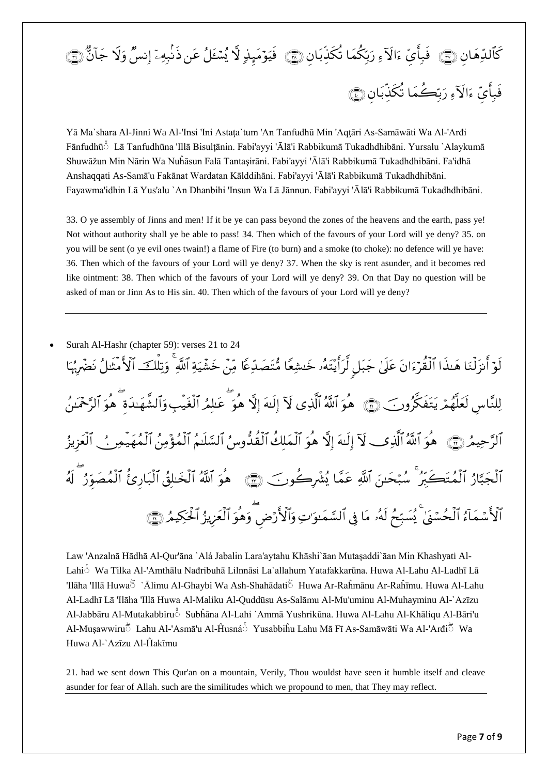## كَالَّذِهَانِ (۞) ۖ فَبِأَيِّ ءَالْآءِ رَبِّكُمَا تَكَذِّبَانِ (۞) ۖ فِيَوْمَبِذِ لَا يُسْعَلُ عَنِ ذُنْبِهِۦٓ إِنسَ وَلا جَانَّ (۞)  $\vdots$ فبأيِّ ءَالاًءِ رَبِّكُمَا تَكذِّبَانِ ۞

Yā Ma`shara Al-Jinni Wa Al-'Insi 'Ini Astaţa`tum 'An Tanfudhū Min 'Aqţāri As-Samāwāti Wa Al-'Arđi Fānfudhūۛ Lā Tanfudhūna 'Illā Bisulţānin. Fabi'ayyi 'Ālā'i Rabbikumā Tukadhdhibāni. Yursalu `Alaykumā Shuwāžun Min Nārin Wa Nuĥāsun Falā Tantaşirāni. Fabi'ayyi 'Ālā'i Rabbikumā Tukadhdhibāni. Fa'idhā Anshaqqati As-Samā'u Fakānat Wardatan Kālddihāni. Fabi'ayyi 'Ālā'i Rabbikumā Tukadhdhibāni. Fayawma'idhin Lā Yus'alu `An Dhanbihi 'Insun Wa Lā Jānnun. Fabi'ayyi 'Ālā'i Rabbikumā Tukadhdhibāni.

33. O ye assembly of Jinns and men! If it be ye can pass beyond the zones of the heavens and the earth, pass ye! Not without authority shall ye be able to pass! 34. Then which of the favours of your Lord will ye deny? 35. on you will be sent (o ye evil ones twain!) a flame of Fire (to burn) and a smoke (to choke): no defence will ye have: 36. Then which of the favours of your Lord will ye deny? 37. When the sky is rent asunder, and it becomes red like ointment: 38. Then which of the favours of your Lord will ye deny? 39. On that Day no question will be asked of man or Jinn As to His sin. 40. Then which of the favours of your Lord will ye deny?

 Surah Al-Hashr (chapter 59): verses 21 to 24 لَوْ أَنزَلْنَا هَـٰذَا الْقِرْءَانَ عَلَىٰ جَبَلَ لِرَاَيَّتَهُۥ خَسْعًا مُّتَصَدِّعًا مِّنَّ خَشِّيَةِ اللّهِ وَتِلْكَ الأمثلُ نَضَّرَيْهَا لِلنَّاسِ لَعَلَّهُمْ يَتَفَكَّرُونَ ﴾ [۞ هوَ اللهُ الَّذِي لَآ إِلَيْهَ إِلَّا هُوَ عَبْلَهُ الْغَيبِ وَالشهَيدَةِ هوَ الرَّحْمَينُ آلرَّ حِيمُ ۞ ﴾ هُوَ ٱللَّهُ ٱلَّذِي لَآ إِلَيْهَ إِلَّا هُوَ ٱلْمَلْكَ ٱلْقُدُّوسُ ٱلسَّلَيْمُ ٱلْمُؤْمِنُ ٱلْمُهَيمِر ﴾ ﴾ ٱلْعَزِيزُ اَلْجَبَّارُ اَلْمُتَكَّبِّرُ ۚ سُبْحَـٰنَ اللَّهِ عَمَّا يُشْرِكُونَ ۞ هُوَ اللَّهُ اَلْخَلْقُ الْبَارِئ الْمُصَوَّرُ ۖ لَهُ ٱلْأَسْمَآءُ ٱلْحُسَّنَىٰ يُسَبِّحُ لَهُۥ مَا فِي ٱلسَّمَـٰوَ'تِ وَٱلْأَرْضِ وَهُوَ ٱلْعَزِيزُ ٱلْحَكِيمُ (۩ٓ

Law 'Anzalnā Hādhā Al-Qur'āna `Alá Jabalin Lara'aytahu Khāshi`āan Mutaşaddi`āan Min Khashyati Al-Lahiۛ Wa Tilka Al-'Amthālu Nađribuhā Lilnnāsi La`allahum Yatafakkarūna. Huwa Al-Lahu Al-Ladhī Lā 'Ilāha 'Illā Huwaۛ `Ālimu Al-Ghaybi Wa Ash-Shahādatiۛ Huwa Ar-Raĥmānu Ar-Raĥīmu. Huwa Al-Lahu Al-Ladhī Lā 'Ilāha 'Illā Huwa Al-Maliku Al-Quddūsu As-Salāmu Al-Mu'uminu Al-Muhayminu Al-`Azīzu Al-Jabbāru Al-Mutakabbiruۛ Subĥāna Al-Lahi `Ammā Yushrikūna. Huwa Al-Lahu Al-Khāliqu Al-Bāri'u Al-Mușawwiru ็ Lahu Al-'Asma'u Al-Ĥusná ้ Yusabbiĥu Lahu Ma Fī As-Samāwāti Wa Al-'Arđi ึ Wa Huwa Al-`Azīzu Al-Ĥakīmu

21. had we sent down This Qur'an on a mountain, Verily, Thou wouldst have seen it humble itself and cleave asunder for fear of Allah. such are the similitudes which we propound to men, that They may reflect.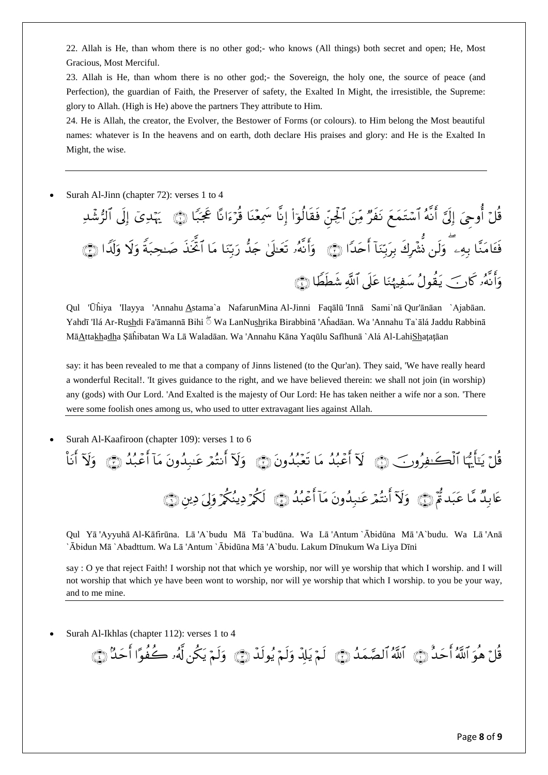22. Allah is He, than whom there is no other god;- who knows (All things) both secret and open; He, Most Gracious, Most Merciful.

23. Allah is He, than whom there is no other god;- the Sovereign, the holy one, the source of peace (and Perfection), the guardian of Faith, the Preserver of safety, the Exalted In Might, the irresistible, the Supreme: glory to Allah. (High is He) above the partners They attribute to Him.

24. He is Allah, the creator, the Evolver, the Bestower of Forms (or colours). to Him belong the Most beautiful names: whatever is In the heavens and on earth, doth declare His praises and glory: and He is the Exalted In Might, the wise.

Surah Al-Jinn (chapter 72): verses 1 to 4

قُلْ أُوحٍيَ إِلِيَّ أَنَّهُ أَسْتَمَعَ نَفَرٌ مِّنَ أَلِجِنَّ فَقَالُوٓاْ إِنَّا سَمِعْنَا قَرَّءَانَا عِجَبًا ۞ يَهْدِيَ إِلِي الرُّشَدِ فَعَامَنَّا بِهِۦ ۖ وَلَن نَشَّرِكَ بِرَبِّنَا أَحَدًا ۞ ﴾ وَأَنهُۥ تَعَلَّىٰ جَدَّ رَبَّنَا مَا أَتحذ صَبحبَة وَلا وَلَدا ۞ وَأَنَّهُۥ كَارَ ۖ يَقُولُ سَفِيهُنَا عَلَى اللَّهِ شَطَطًا ( ۖ

Qul 'Ūĥiya 'Ilayya 'Annahu Astama`a NafarunMina Al-Jinni Faqālū 'Innā Sami`nā Qur'ānāan `Ajabāan. Yahdī 'Ilá Ar-Rushdi Fa'āmannā Bihi  $\tilde{5}$  Wa LanNushrika Birabbinā 'Aĥadāan. Wa 'Annahu Ta`ālá Jaddu Rabbinā MāAttakhadha Şāĥibatan Wa Lā Waladāan. Wa 'Annahu Kāna Yaqūlu Safīhunā `Alá Al-LahiShaţaţāan

say: it has been revealed to me that a company of Jinns listened (to the Qur'an). They said, 'We have really heard a wonderful Recital!. 'It gives guidance to the right, and we have believed therein: we shall not join (in worship) any (gods) with Our Lord. 'And Exalted is the majesty of Our Lord: He has taken neither a wife nor a son. 'There were some foolish ones among us, who used to utter extravagant lies against Allah.

Surah Al-Kaafiroon (chapter 109): verses 1 to 6

قُلْ يَنَأَيُّهَا ٱلْكَسْفِرُونَ ۚ ۞ لَآ أَعۡبُدُ مَا تَعۡبُدُونَ ۞ وَلَآ أَنتُمۡ عَنِيدُونَ مَآ أَعۡبُدُ ۞ وَلآ أَنأ عَابِيَكُ مَّا عَبَدَةٌ إِنَّ ۗ وَلَا أَنتُمْ عَـٰبِدُونَ مَا أَعْبُدُ ۞ لَكُمْ دِينُكُمْ وَلِيَ دِين ۞

Qul Yā 'Ayyuhā Al-Kāfirūna. Lā 'A`budu Mā Ta`budūna. Wa Lā 'Antum `Ābidūna Mā 'A`budu. Wa Lā 'Anā `Ābidun Mā `Abadttum. Wa Lā 'Antum `Ābidūna Mā 'A`budu. Lakum Dīnukum Wa Liya Dīni

say : O ye that reject Faith! I worship not that which ye worship, nor will ye worship that which I worship. and I will not worship that which ye have been wont to worship, nor will ye worship that which I worship. to you be your way, and to me mine.

Surah Al-Ikhlas (chapter 112): verses 1 to 4

قُلْ هُوَ اللَّهُ أَحَدُ ۞ اللَّهُ الصَّمَدُ ۞ لَمْ يَلِدُ وَلَمْ يُولِدٌ ۞ وَلَمْ يَكُنْ لَهُۥ كَفَوًا أَحَد